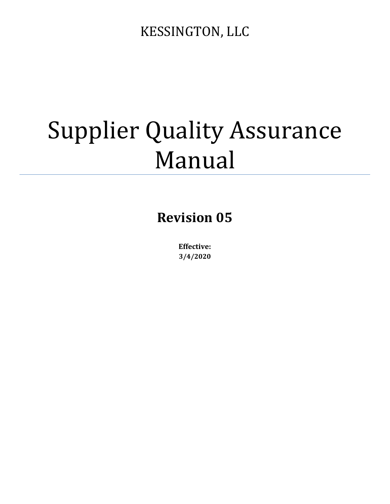# Supplier Quality Assurance Manual

# **Revision 05**

**Effective: 3/4/2020**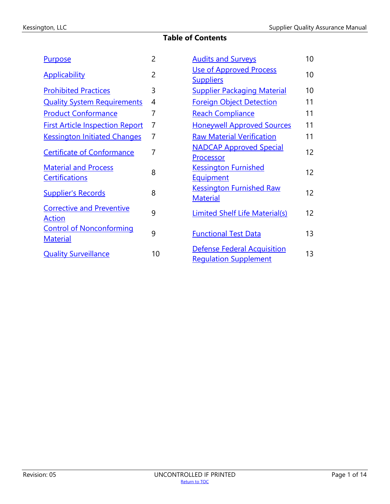# **Table of Contents**

<span id="page-1-0"></span>

| <b>Purpose</b>                                       | $\overline{2}$ | <b>Audits and Surveys</b>                                          | 10 |
|------------------------------------------------------|----------------|--------------------------------------------------------------------|----|
| <b>Applicability</b>                                 | $\overline{2}$ | <b>Use of Approved Process</b><br><b>Suppliers</b>                 | 10 |
| <b>Prohibited Practices</b>                          | 3              | <b>Supplier Packaging Material</b>                                 | 10 |
| <b>Quality System Requirements</b>                   | 4              | <b>Foreign Object Detection</b>                                    | 11 |
| <b>Product Conformance</b>                           | $\overline{7}$ | <b>Reach Compliance</b>                                            | 11 |
| <b>First Article Inspection Report</b>               | $\overline{7}$ | <b>Honeywell Approved Sources</b>                                  | 11 |
| <b>Kessington Initiated Changes</b>                  | $\overline{7}$ | <b>Raw Material Verification</b>                                   | 11 |
| <b>Certificate of Conformance</b>                    | $\overline{7}$ | <b>NADCAP Approved Special</b><br>Processor                        | 12 |
| <b>Material and Process</b><br><b>Certifications</b> | 8              | <b>Kessington Furnished</b><br>Equipment                           | 12 |
| <b>Supplier's Records</b>                            | 8              | <b>Kessington Furnished Raw</b><br><b>Material</b>                 | 12 |
| <b>Corrective and Preventive</b><br><b>Action</b>    | 9              | Limited Shelf Life Material(s)                                     | 12 |
| <b>Control of Nonconforming</b><br><b>Material</b>   | 9              | <b>Functional Test Data</b>                                        | 13 |
| <b>Quality Surveillance</b>                          | 10             | <b>Defense Federal Acquisition</b><br><b>Regulation Supplement</b> | 13 |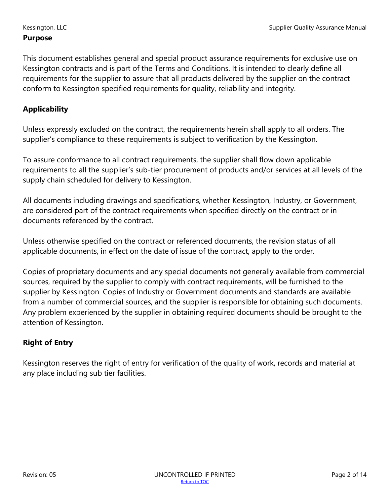#### <span id="page-2-0"></span>**Purpose**

This document establishes general and special product assurance requirements for exclusive use on Kessington contracts and is part of the Terms and Conditions. It is intended to clearly define all requirements for the supplier to assure that all products delivered by the supplier on the contract conform to Kessington specified requirements for quality, reliability and integrity.

# <span id="page-2-1"></span>**Applicability**

Unless expressly excluded on the contract, the requirements herein shall apply to all orders. The supplier's compliance to these requirements is subject to verification by the Kessington.

To assure conformance to all contract requirements, the supplier shall flow down applicable requirements to all the supplier's sub-tier procurement of products and/or services at all levels of the supply chain scheduled for delivery to Kessington.

All documents including drawings and specifications, whether Kessington, Industry, or Government, are considered part of the contract requirements when specified directly on the contract or in documents referenced by the contract.

Unless otherwise specified on the contract or referenced documents, the revision status of all applicable documents, in effect on the date of issue of the contract, apply to the order.

Copies of proprietary documents and any special documents not generally available from commercial sources, required by the supplier to comply with contract requirements, will be furnished to the supplier by Kessington. Copies of Industry or Government documents and standards are available from a number of commercial sources, and the supplier is responsible for obtaining such documents. Any problem experienced by the supplier in obtaining required documents should be brought to the attention of Kessington.

# **Right of Entry**

Kessington reserves the right of entry for verification of the quality of work, records and material at any place including sub tier facilities.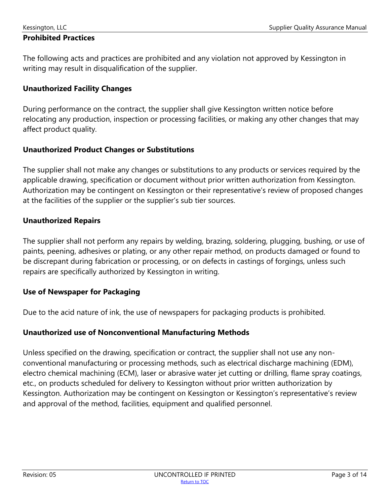#### <span id="page-3-0"></span>**Prohibited Practices**

The following acts and practices are prohibited and any violation not approved by Kessington in writing may result in disqualification of the supplier.

#### **Unauthorized Facility Changes**

During performance on the contract, the supplier shall give Kessington written notice before relocating any production, inspection or processing facilities, or making any other changes that may affect product quality.

#### **Unauthorized Product Changes or Substitutions**

The supplier shall not make any changes or substitutions to any products or services required by the applicable drawing, specification or document without prior written authorization from Kessington. Authorization may be contingent on Kessington or their representative's review of proposed changes at the facilities of the supplier or the supplier's sub tier sources.

#### **Unauthorized Repairs**

The supplier shall not perform any repairs by welding, brazing, soldering, plugging, bushing, or use of paints, peening, adhesives or plating, or any other repair method, on products damaged or found to be discrepant during fabrication or processing, or on defects in castings of forgings, unless such repairs are specifically authorized by Kessington in writing.

# **Use of Newspaper for Packaging**

Due to the acid nature of ink, the use of newspapers for packaging products is prohibited.

# **Unauthorized use of Nonconventional Manufacturing Methods**

Unless specified on the drawing, specification or contract, the supplier shall not use any nonconventional manufacturing or processing methods, such as electrical discharge machining (EDM), electro chemical machining (ECM), laser or abrasive water jet cutting or drilling, flame spray coatings, etc., on products scheduled for delivery to Kessington without prior written authorization by Kessington. Authorization may be contingent on Kessington or Kessington's representative's review and approval of the method, facilities, equipment and qualified personnel.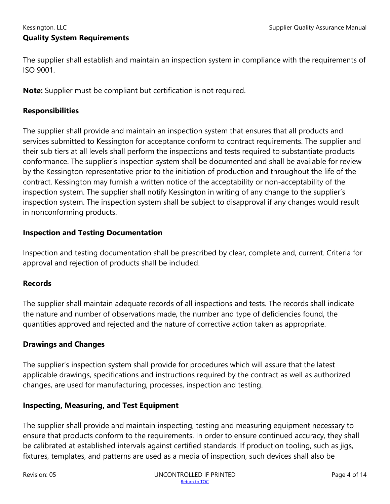<span id="page-4-0"></span>The supplier shall establish and maintain an inspection system in compliance with the requirements of ISO 9001.

**Note:** Supplier must be compliant but certification is not required.

#### **Responsibilities**

The supplier shall provide and maintain an inspection system that ensures that all products and services submitted to Kessington for acceptance conform to contract requirements. The supplier and their sub tiers at all levels shall perform the inspections and tests required to substantiate products conformance. The supplier's inspection system shall be documented and shall be available for review by the Kessington representative prior to the initiation of production and throughout the life of the contract. Kessington may furnish a written notice of the acceptability or non-acceptability of the inspection system. The supplier shall notify Kessington in writing of any change to the supplier's inspection system. The inspection system shall be subject to disapproval if any changes would result in nonconforming products.

#### **Inspection and Testing Documentation**

Inspection and testing documentation shall be prescribed by clear, complete and, current. Criteria for approval and rejection of products shall be included.

# **Records**

The supplier shall maintain adequate records of all inspections and tests. The records shall indicate the nature and number of observations made, the number and type of deficiencies found, the quantities approved and rejected and the nature of corrective action taken as appropriate.

#### **Drawings and Changes**

The supplier's inspection system shall provide for procedures which will assure that the latest applicable drawings, specifications and instructions required by the contract as well as authorized changes, are used for manufacturing, processes, inspection and testing.

#### **Inspecting, Measuring, and Test Equipment**

The supplier shall provide and maintain inspecting, testing and measuring equipment necessary to ensure that products conform to the requirements. In order to ensure continued accuracy, they shall be calibrated at established intervals against certified standards. If production tooling, such as jigs, fixtures, templates, and patterns are used as a media of inspection, such devices shall also be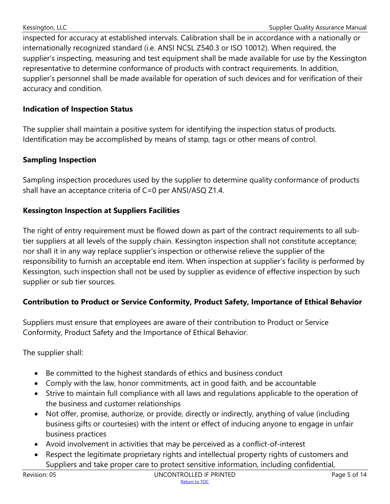inspected for accuracy at established intervals. Calibration shall be in accordance with a nationally or internationally recognized standard (i.e. ANSI NCSL Z540.3 or ISO 10012). When required, the supplier's inspecting, measuring and test equipment shall be made available for use by the Kessington representative to determine conformance of products with contract requirements. In addition, supplier's personnel shall be made available for operation of such devices and for verification of their accuracy and condition.

#### **Indication of Inspection Status**

The supplier shall maintain a positive system for identifying the inspection status of products. Identification may be accomplished by means of stamp, tags or other means of control.

#### **Sampling Inspection**

Sampling inspection procedures used by the supplier to determine quality conformance of products shall have an acceptance criteria of C=0 per ANSI/ASQ Z1.4.

#### **Kessington Inspection at Suppliers Facilities**

The right of entry requirement must be flowed down as part of the contract requirements to all subtier suppliers at all levels of the supply chain. Kessington inspection shall not constitute acceptance; nor shall it in any way replace supplier's inspection or otherwise relieve the supplier of the responsibility to furnish an acceptable end item. When inspection at supplier's facility is performed by Kessington, such inspection shall not be used by supplier as evidence of effective inspection by such supplier or sub tier sources.

# **Contribution to Product or Service Conformity, Product Safety, Importance of Ethical Behavior**

Suppliers must ensure that employees are aware of their contribution to Product or Service Conformity, Product Safety and the Importance of Ethical Behavior.

The supplier shall:

- Be committed to the highest standards of ethics and business conduct
- Comply with the law, honor commitments, act in good faith, and be accountable
- Strive to maintain full compliance with all laws and regulations applicable to the operation of the business and customer relationships
- Not offer, promise, authorize, or provide, directly or indirectly, anything of value (including business gifts or courtesies) with the intent or effect of inducing anyone to engage in unfair business practices
- Avoid involvement in activities that may be perceived as a conflict-of-interest
- Respect the legitimate proprietary rights and intellectual property rights of customers and Suppliers and take proper care to protect sensitive information, including confidential,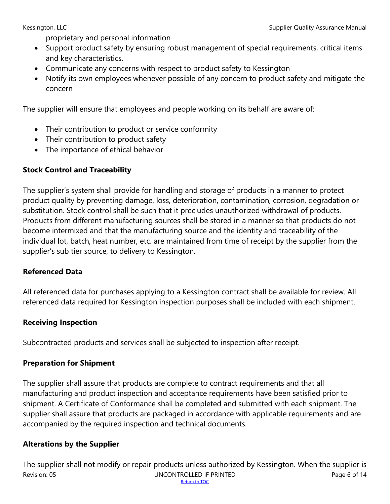proprietary and personal information

- Support product safety by ensuring robust management of special requirements, critical items and key characteristics.
- Communicate any concerns with respect to product safety to Kessington
- Notify its own employees whenever possible of any concern to product safety and mitigate the concern

The supplier will ensure that employees and people working on its behalf are aware of:

- Their contribution to product or service conformity
- Their contribution to product safety
- The importance of ethical behavior

# **Stock Control and Traceability**

The supplier's system shall provide for handling and storage of products in a manner to protect product quality by preventing damage, loss, deterioration, contamination, corrosion, degradation or substitution. Stock control shall be such that it precludes unauthorized withdrawal of products. Products from different manufacturing sources shall be stored in a manner so that products do not become intermixed and that the manufacturing source and the identity and traceability of the individual lot, batch, heat number, etc. are maintained from time of receipt by the supplier from the supplier's sub tier source, to delivery to Kessington.

# **Referenced Data**

All referenced data for purchases applying to a Kessington contract shall be available for review. All referenced data required for Kessington inspection purposes shall be included with each shipment.

#### **Receiving Inspection**

Subcontracted products and services shall be subjected to inspection after receipt.

#### **Preparation for Shipment**

The supplier shall assure that products are complete to contract requirements and that all manufacturing and product inspection and acceptance requirements have been satisfied prior to shipment. A Certificate of Conformance shall be completed and submitted with each shipment. The supplier shall assure that products are packaged in accordance with applicable requirements and are accompanied by the required inspection and technical documents.

#### **Alterations by the Supplier**

Revision: 05 Contract CONTROLLED IF PRINTED Page 6 of 14 [Return to TOC](#page-1-0) The supplier shall not modify or repair products unless authorized by Kessington. When the supplier is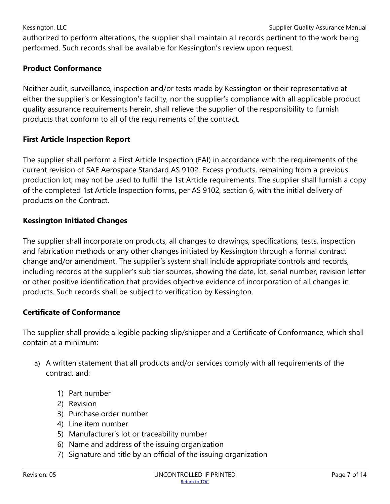authorized to perform alterations, the supplier shall maintain all records pertinent to the work being performed. Such records shall be available for Kessington's review upon request.

#### <span id="page-7-0"></span>**Product Conformance**

Neither audit, surveillance, inspection and/or tests made by Kessington or their representative at either the supplier's or Kessington's facility, nor the supplier's compliance with all applicable product quality assurance requirements herein, shall relieve the supplier of the responsibility to furnish products that conform to all of the requirements of the contract.

#### <span id="page-7-1"></span>**First Article Inspection Report**

The supplier shall perform a First Article Inspection (FAI) in accordance with the requirements of the current revision of SAE Aerospace Standard AS 9102. Excess products, remaining from a previous production lot, may not be used to fulfill the 1st Article requirements. The supplier shall furnish a copy of the completed 1st Article Inspection forms, per AS 9102, section 6, with the initial delivery of products on the Contract.

#### <span id="page-7-2"></span>**Kessington Initiated Changes**

The supplier shall incorporate on products, all changes to drawings, specifications, tests, inspection and fabrication methods or any other changes initiated by Kessington through a formal contract change and/or amendment. The supplier's system shall include appropriate controls and records, including records at the supplier's sub tier sources, showing the date, lot, serial number, revision letter or other positive identification that provides objective evidence of incorporation of all changes in products. Such records shall be subject to verification by Kessington.

#### <span id="page-7-3"></span>**Certificate of Conformance**

The supplier shall provide a legible packing slip/shipper and a Certificate of Conformance, which shall contain at a minimum:

- a) A written statement that all products and/or services comply with all requirements of the contract and:
	- 1) Part number
	- 2) Revision
	- 3) Purchase order number
	- 4) Line item number
	- 5) Manufacturer's lot or traceability number
	- 6) Name and address of the issuing organization
	- 7) Signature and title by an official of the issuing organization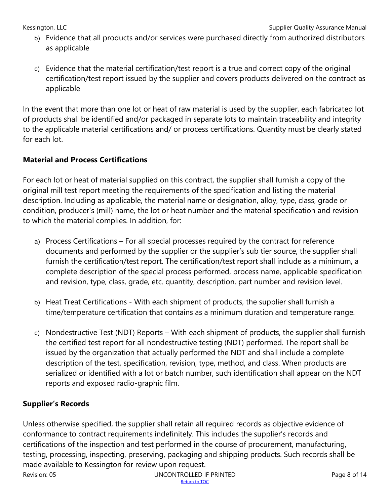- b) Evidence that all products and/or services were purchased directly from authorized distributors as applicable
- c) Evidence that the material certification/test report is a true and correct copy of the original certification/test report issued by the supplier and covers products delivered on the contract as applicable

In the event that more than one lot or heat of raw material is used by the supplier, each fabricated lot of products shall be identified and/or packaged in separate lots to maintain traceability and integrity to the applicable material certifications and/ or process certifications. Quantity must be clearly stated for each lot.

# <span id="page-8-0"></span>**Material and Process Certifications**

For each lot or heat of material supplied on this contract, the supplier shall furnish a copy of the original mill test report meeting the requirements of the specification and listing the material description. Including as applicable, the material name or designation, alloy, type, class, grade or condition, producer's (mill) name, the lot or heat number and the material specification and revision to which the material complies. In addition, for:

- a) Process Certifications For all special processes required by the contract for reference documents and performed by the supplier or the supplier's sub tier source, the supplier shall furnish the certification/test report. The certification/test report shall include as a minimum, a complete description of the special process performed, process name, applicable specification and revision, type, class, grade, etc. quantity, description, part number and revision level.
- b) Heat Treat Certifications With each shipment of products, the supplier shall furnish a time/temperature certification that contains as a minimum duration and temperature range.
- c) Nondestructive Test (NDT) Reports With each shipment of products, the supplier shall furnish the certified test report for all nondestructive testing (NDT) performed. The report shall be issued by the organization that actually performed the NDT and shall include a complete description of the test, specification, revision, type, method, and class. When products are serialized or identified with a lot or batch number, such identification shall appear on the NDT reports and exposed radio-graphic film.

# <span id="page-8-1"></span>**Supplier's Records**

Unless otherwise specified, the supplier shall retain all required records as objective evidence of conformance to contract requirements indefinitely. This includes the supplier's records and certifications of the inspection and test performed in the course of procurement, manufacturing, testing, processing, inspecting, preserving, packaging and shipping products. Such records shall be made available to Kessington for review upon request.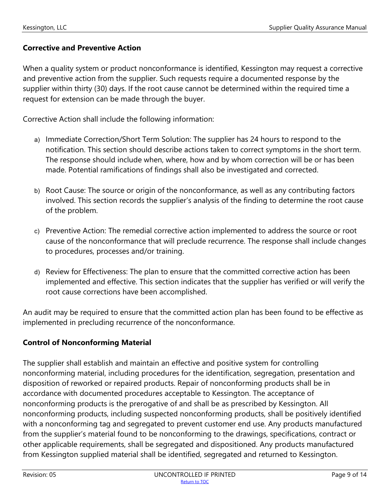#### <span id="page-9-0"></span>**Corrective and Preventive Action**

When a quality system or product nonconformance is identified, Kessington may request a corrective and preventive action from the supplier. Such requests require a documented response by the supplier within thirty (30) days. If the root cause cannot be determined within the required time a request for extension can be made through the buyer.

Corrective Action shall include the following information:

- a) Immediate Correction/Short Term Solution: The supplier has 24 hours to respond to the notification. This section should describe actions taken to correct symptoms in the short term. The response should include when, where, how and by whom correction will be or has been made. Potential ramifications of findings shall also be investigated and corrected.
- b) Root Cause: The source or origin of the nonconformance, as well as any contributing factors involved. This section records the supplier's analysis of the finding to determine the root cause of the problem.
- c) Preventive Action: The remedial corrective action implemented to address the source or root cause of the nonconformance that will preclude recurrence. The response shall include changes to procedures, processes and/or training.
- d) Review for Effectiveness: The plan to ensure that the committed corrective action has been implemented and effective. This section indicates that the supplier has verified or will verify the root cause corrections have been accomplished.

An audit may be required to ensure that the committed action plan has been found to be effective as implemented in precluding recurrence of the nonconformance.

# <span id="page-9-1"></span>**Control of Nonconforming Material**

The supplier shall establish and maintain an effective and positive system for controlling nonconforming material, including procedures for the identification, segregation, presentation and disposition of reworked or repaired products. Repair of nonconforming products shall be in accordance with documented procedures acceptable to Kessington. The acceptance of nonconforming products is the prerogative of and shall be as prescribed by Kessington. All nonconforming products, including suspected nonconforming products, shall be positively identified with a nonconforming tag and segregated to prevent customer end use. Any products manufactured from the supplier's material found to be nonconforming to the drawings, specifications, contract or other applicable requirements, shall be segregated and dispositioned. Any products manufactured from Kessington supplied material shall be identified, segregated and returned to Kessington.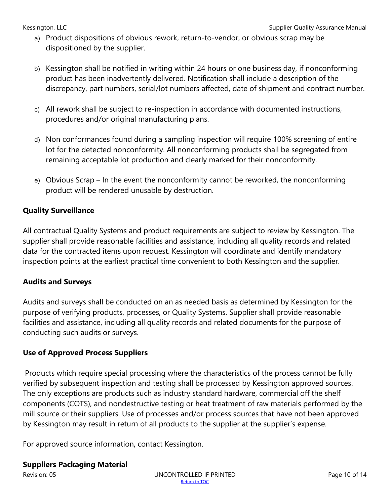- a) Product dispositions of obvious rework, return-to-vendor, or obvious scrap may be dispositioned by the supplier.
- b) Kessington shall be notified in writing within 24 hours or one business day, if nonconforming product has been inadvertently delivered. Notification shall include a description of the discrepancy, part numbers, serial/lot numbers affected, date of shipment and contract number.
- c) All rework shall be subject to re-inspection in accordance with documented instructions, procedures and/or original manufacturing plans.
- d) Non conformances found during a sampling inspection will require 100% screening of entire lot for the detected nonconformity. All nonconforming products shall be segregated from remaining acceptable lot production and clearly marked for their nonconformity.
- e) Obvious Scrap In the event the nonconformity cannot be reworked, the nonconforming product will be rendered unusable by destruction.

# <span id="page-10-3"></span>**Quality Surveillance**

All contractual Quality Systems and product requirements are subject to review by Kessington. The supplier shall provide reasonable facilities and assistance, including all quality records and related data for the contracted items upon request. Kessington will coordinate and identify mandatory inspection points at the earliest practical time convenient to both Kessington and the supplier.

#### <span id="page-10-0"></span>**Audits and Surveys**

Audits and surveys shall be conducted on an as needed basis as determined by Kessington for the purpose of verifying products, processes, or Quality Systems. Supplier shall provide reasonable facilities and assistance, including all quality records and related documents for the purpose of conducting such audits or surveys.

#### <span id="page-10-1"></span>**Use of Approved Process Suppliers**

Products which require special processing where the characteristics of the process cannot be fully verified by subsequent inspection and testing shall be processed by Kessington approved sources. The only exceptions are products such as industry standard hardware, commercial off the shelf components (COTS), and nondestructive testing or heat treatment of raw materials performed by the mill source or their suppliers. Use of processes and/or process sources that have not been approved by Kessington may result in return of all products to the supplier at the supplier's expense.

For approved source information, contact Kessington.

#### <span id="page-10-2"></span>**Suppliers Packaging Material**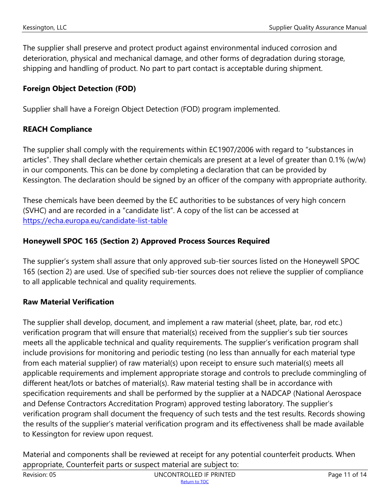The supplier shall preserve and protect product against environmental induced corrosion and deterioration, physical and mechanical damage, and other forms of degradation during storage, shipping and handling of product. No part to part contact is acceptable during shipment.

# <span id="page-11-0"></span>**Foreign Object Detection (FOD)**

Supplier shall have a Foreign Object Detection (FOD) program implemented.

# <span id="page-11-1"></span>**REACH Compliance**

The supplier shall comply with the requirements within EC1907/2006 with regard to "substances in articles". They shall declare whether certain chemicals are present at a level of greater than 0.1% (w/w) in our components. This can be done by completing a declaration that can be provided by Kessington. The declaration should be signed by an officer of the company with appropriate authority.

These chemicals have been deemed by the EC authorities to be substances of very high concern (SVHC) and are recorded in a "candidate list". A copy of the list can be accessed at <https://echa.europa.eu/candidate-list-table>

# <span id="page-11-2"></span>**Honeywell SPOC 165 (Section 2) Approved Process Sources Required**

The supplier's system shall assure that only approved sub-tier sources listed on the Honeywell SPOC 165 (section 2) are used. Use of specified sub-tier sources does not relieve the supplier of compliance to all applicable technical and quality requirements.

# <span id="page-11-3"></span>**Raw Material Verification**

The supplier shall develop, document, and implement a raw material (sheet, plate, bar, rod etc.) verification program that will ensure that material(s) received from the supplier's sub tier sources meets all the applicable technical and quality requirements. The supplier's verification program shall include provisions for monitoring and periodic testing (no less than annually for each material type from each material supplier) of raw material(s) upon receipt to ensure such material(s) meets all applicable requirements and implement appropriate storage and controls to preclude commingling of different heat/lots or batches of material(s). Raw material testing shall be in accordance with specification requirements and shall be performed by the supplier at a NADCAP (National Aerospace and Defense Contractors Accreditation Program) approved testing laboratory. The supplier's verification program shall document the frequency of such tests and the test results. Records showing the results of the supplier's material verification program and its effectiveness shall be made available to Kessington for review upon request.

Material and components shall be reviewed at receipt for any potential counterfeit products. When appropriate, Counterfeit parts or suspect material are subject to: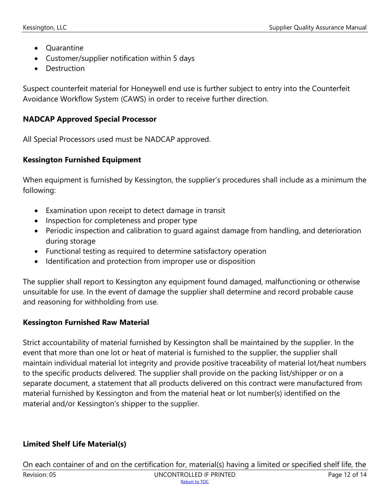- Quarantine
- Customer/supplier notification within 5 days
- Destruction

Suspect counterfeit material for Honeywell end use is further subject to entry into the Counterfeit Avoidance Workflow System (CAWS) in order to receive further direction.

# <span id="page-12-0"></span>**NADCAP Approved Special Processor**

All Special Processors used must be NADCAP approved.

# <span id="page-12-1"></span>**Kessington Furnished Equipment**

When equipment is furnished by Kessington, the supplier's procedures shall include as a minimum the following:

- Examination upon receipt to detect damage in transit
- Inspection for completeness and proper type
- Periodic inspection and calibration to guard against damage from handling, and deterioration during storage
- Functional testing as required to determine satisfactory operation
- Identification and protection from improper use or disposition

The supplier shall report to Kessington any equipment found damaged, malfunctioning or otherwise unsuitable for use. In the event of damage the supplier shall determine and record probable cause and reasoning for withholding from use.

# <span id="page-12-2"></span>**Kessington Furnished Raw Material**

Strict accountability of material furnished by Kessington shall be maintained by the supplier. In the event that more than one lot or heat of material is furnished to the supplier, the supplier shall maintain individual material lot integrity and provide positive traceability of material lot/heat numbers to the specific products delivered. The supplier shall provide on the packing list/shipper or on a separate document, a statement that all products delivered on this contract were manufactured from material furnished by Kessington and from the material heat or lot number(s) identified on the material and/or Kessington's shipper to the supplier.

# <span id="page-12-3"></span>**Limited Shelf Life Material(s)**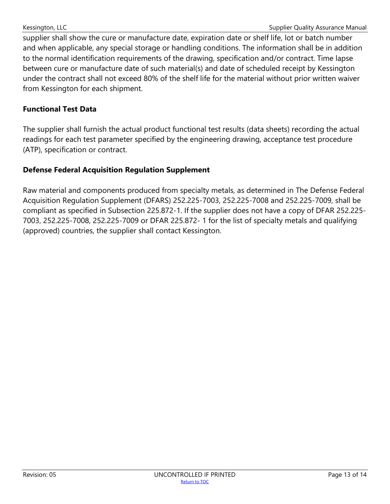supplier shall show the cure or manufacture date, expiration date or shelf life, lot or batch number and when applicable, any special storage or handling conditions. The information shall be in addition to the normal identification requirements of the drawing, specification and/or contract. Time lapse between cure or manufacture date of such material(s) and date of scheduled receipt by Kessington under the contract shall not exceed 80% of the shelf life for the material without prior written waiver from Kessington for each shipment.

#### <span id="page-13-0"></span>**Functional Test Data**

The supplier shall furnish the actual product functional test results (data sheets) recording the actual readings for each test parameter specified by the engineering drawing, acceptance test procedure (ATP), specification or contract.

# <span id="page-13-1"></span>**Defense Federal Acquisition Regulation Supplement**

Raw material and components produced from specialty metals, as determined in The Defense Federal Acquisition Regulation Supplement (DFARS) 252.225-7003, 252.225-7008 and 252.225-7009, shall be compliant as specified in Subsection 225.872-1. If the supplier does not have a copy of DFAR 252.225- 7003, 252.225-7008, 252.225-7009 or DFAR 225.872- 1 for the list of specialty metals and qualifying (approved) countries, the supplier shall contact Kessington.